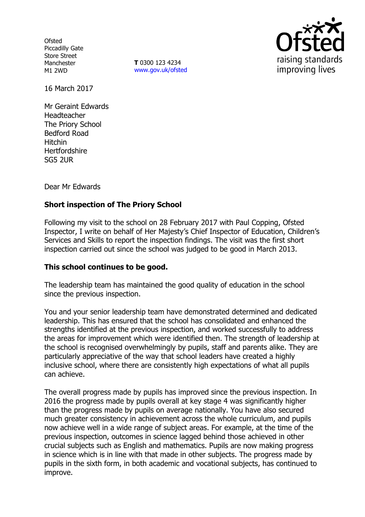**Ofsted** Piccadilly Gate Store Street Manchester M1 2WD

**T** 0300 123 4234 www.gov.uk/ofsted



16 March 2017

Mr Geraint Edwards Headteacher The Priory School Bedford Road Hitchin **Hertfordshire** SG5 2UR

Dear Mr Edwards

# **Short inspection of The Priory School**

Following my visit to the school on 28 February 2017 with Paul Copping, Ofsted Inspector, I write on behalf of Her Majesty's Chief Inspector of Education, Children's Services and Skills to report the inspection findings. The visit was the first short inspection carried out since the school was judged to be good in March 2013.

### **This school continues to be good.**

The leadership team has maintained the good quality of education in the school since the previous inspection.

You and your senior leadership team have demonstrated determined and dedicated leadership. This has ensured that the school has consolidated and enhanced the strengths identified at the previous inspection, and worked successfully to address the areas for improvement which were identified then. The strength of leadership at the school is recognised overwhelmingly by pupils, staff and parents alike. They are particularly appreciative of the way that school leaders have created a highly inclusive school, where there are consistently high expectations of what all pupils can achieve.

The overall progress made by pupils has improved since the previous inspection. In 2016 the progress made by pupils overall at key stage 4 was significantly higher than the progress made by pupils on average nationally. You have also secured much greater consistency in achievement across the whole curriculum, and pupils now achieve well in a wide range of subject areas. For example, at the time of the previous inspection, outcomes in science lagged behind those achieved in other crucial subjects such as English and mathematics. Pupils are now making progress in science which is in line with that made in other subjects. The progress made by pupils in the sixth form, in both academic and vocational subjects, has continued to improve.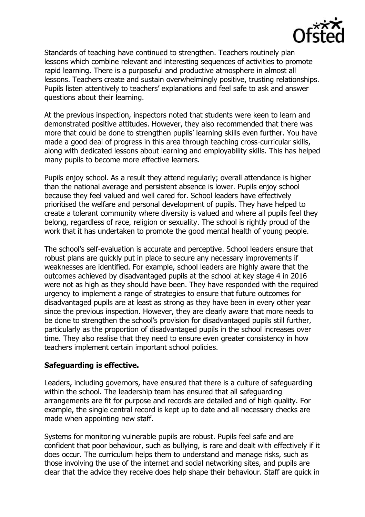

Standards of teaching have continued to strengthen. Teachers routinely plan lessons which combine relevant and interesting sequences of activities to promote rapid learning. There is a purposeful and productive atmosphere in almost all lessons. Teachers create and sustain overwhelmingly positive, trusting relationships. Pupils listen attentively to teachers' explanations and feel safe to ask and answer questions about their learning.

At the previous inspection, inspectors noted that students were keen to learn and demonstrated positive attitudes. However, they also recommended that there was more that could be done to strengthen pupils' learning skills even further. You have made a good deal of progress in this area through teaching cross-curricular skills, along with dedicated lessons about learning and employability skills. This has helped many pupils to become more effective learners.

Pupils enjoy school. As a result they attend regularly; overall attendance is higher than the national average and persistent absence is lower. Pupils enjoy school because they feel valued and well cared for. School leaders have effectively prioritised the welfare and personal development of pupils. They have helped to create a tolerant community where diversity is valued and where all pupils feel they belong, regardless of race, religion or sexuality. The school is rightly proud of the work that it has undertaken to promote the good mental health of young people.

The school's self-evaluation is accurate and perceptive. School leaders ensure that robust plans are quickly put in place to secure any necessary improvements if weaknesses are identified. For example, school leaders are highly aware that the outcomes achieved by disadvantaged pupils at the school at key stage 4 in 2016 were not as high as they should have been. They have responded with the required urgency to implement a range of strategies to ensure that future outcomes for disadvantaged pupils are at least as strong as they have been in every other year since the previous inspection. However, they are clearly aware that more needs to be done to strengthen the school's provision for disadvantaged pupils still further, particularly as the proportion of disadvantaged pupils in the school increases over time. They also realise that they need to ensure even greater consistency in how teachers implement certain important school policies.

#### **Safeguarding is effective.**

Leaders, including governors, have ensured that there is a culture of safeguarding within the school. The leadership team has ensured that all safeguarding arrangements are fit for purpose and records are detailed and of high quality. For example, the single central record is kept up to date and all necessary checks are made when appointing new staff.

Systems for monitoring vulnerable pupils are robust. Pupils feel safe and are confident that poor behaviour, such as bullying, is rare and dealt with effectively if it does occur. The curriculum helps them to understand and manage risks, such as those involving the use of the internet and social networking sites, and pupils are clear that the advice they receive does help shape their behaviour. Staff are quick in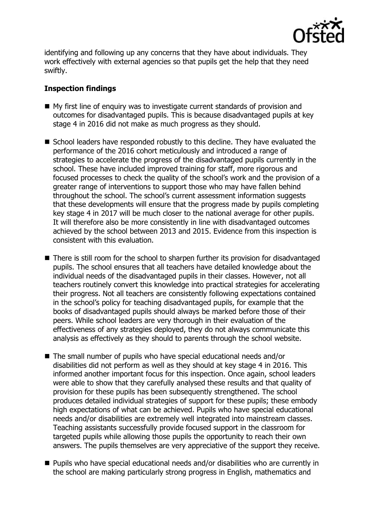

identifying and following up any concerns that they have about individuals. They work effectively with external agencies so that pupils get the help that they need swiftly.

### **Inspection findings**

- My first line of enquiry was to investigate current standards of provision and outcomes for disadvantaged pupils. This is because disadvantaged pupils at key stage 4 in 2016 did not make as much progress as they should.
- School leaders have responded robustly to this decline. They have evaluated the performance of the 2016 cohort meticulously and introduced a range of strategies to accelerate the progress of the disadvantaged pupils currently in the school. These have included improved training for staff, more rigorous and focused processes to check the quality of the school's work and the provision of a greater range of interventions to support those who may have fallen behind throughout the school. The school's current assessment information suggests that these developments will ensure that the progress made by pupils completing key stage 4 in 2017 will be much closer to the national average for other pupils. It will therefore also be more consistently in line with disadvantaged outcomes achieved by the school between 2013 and 2015. Evidence from this inspection is consistent with this evaluation.
- There is still room for the school to sharpen further its provision for disadvantaged pupils. The school ensures that all teachers have detailed knowledge about the individual needs of the disadvantaged pupils in their classes. However, not all teachers routinely convert this knowledge into practical strategies for accelerating their progress. Not all teachers are consistently following expectations contained in the school's policy for teaching disadvantaged pupils, for example that the books of disadvantaged pupils should always be marked before those of their peers. While school leaders are very thorough in their evaluation of the effectiveness of any strategies deployed, they do not always communicate this analysis as effectively as they should to parents through the school website.
- The small number of pupils who have special educational needs and/or disabilities did not perform as well as they should at key stage 4 in 2016. This informed another important focus for this inspection. Once again, school leaders were able to show that they carefully analysed these results and that quality of provision for these pupils has been subsequently strengthened. The school produces detailed individual strategies of support for these pupils; these embody high expectations of what can be achieved. Pupils who have special educational needs and/or disabilities are extremely well integrated into mainstream classes. Teaching assistants successfully provide focused support in the classroom for targeted pupils while allowing those pupils the opportunity to reach their own answers. The pupils themselves are very appreciative of the support they receive.
- Pupils who have special educational needs and/or disabilities who are currently in the school are making particularly strong progress in English, mathematics and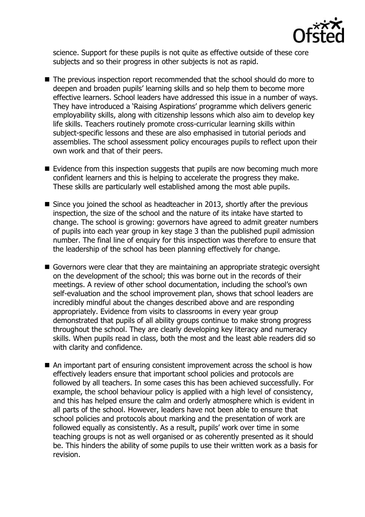

science. Support for these pupils is not quite as effective outside of these core subjects and so their progress in other subjects is not as rapid.

- The previous inspection report recommended that the school should do more to deepen and broaden pupils' learning skills and so help them to become more effective learners. School leaders have addressed this issue in a number of ways. They have introduced a 'Raising Aspirations' programme which delivers generic employability skills, along with citizenship lessons which also aim to develop key life skills. Teachers routinely promote cross-curricular learning skills within subject-specific lessons and these are also emphasised in tutorial periods and assemblies. The school assessment policy encourages pupils to reflect upon their own work and that of their peers.
- $\blacksquare$  Evidence from this inspection suggests that pupils are now becoming much more confident learners and this is helping to accelerate the progress they make. These skills are particularly well established among the most able pupils.
- $\blacksquare$  Since you joined the school as headteacher in 2013, shortly after the previous inspection, the size of the school and the nature of its intake have started to change. The school is growing: governors have agreed to admit greater numbers of pupils into each year group in key stage 3 than the published pupil admission number. The final line of enquiry for this inspection was therefore to ensure that the leadership of the school has been planning effectively for change.
- Governors were clear that they are maintaining an appropriate strategic oversight on the development of the school; this was borne out in the records of their meetings. A review of other school documentation, including the school's own self-evaluation and the school improvement plan, shows that school leaders are incredibly mindful about the changes described above and are responding appropriately. Evidence from visits to classrooms in every year group demonstrated that pupils of all ability groups continue to make strong progress throughout the school. They are clearly developing key literacy and numeracy skills. When pupils read in class, both the most and the least able readers did so with clarity and confidence.
- An important part of ensuring consistent improvement across the school is how effectively leaders ensure that important school policies and protocols are followed by all teachers. In some cases this has been achieved successfully. For example, the school behaviour policy is applied with a high level of consistency, and this has helped ensure the calm and orderly atmosphere which is evident in all parts of the school. However, leaders have not been able to ensure that school policies and protocols about marking and the presentation of work are followed equally as consistently. As a result, pupils' work over time in some teaching groups is not as well organised or as coherently presented as it should be. This hinders the ability of some pupils to use their written work as a basis for revision.